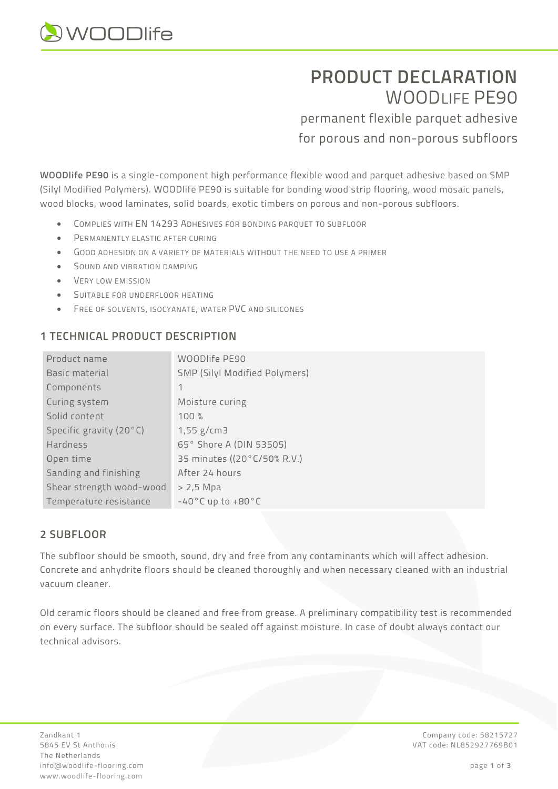

# **PRODUCT DECLARATION**  WOODLIFF PE90

permanent flexible parquet adhesive for porous and non-porous subfloors

**WOODlife PE90** is a single-component high performance flexible wood and parquet adhesive based on SMP (Silyl Modified Polymers). WOODlife PE90 is suitable for bonding wood strip flooring, wood mosaic panels, wood blocks, wood laminates, solid boards, exotic timbers on porous and non-porous subfloors.

- COMPLIES WITH EN 14293 ADHESIVES FOR BONDING PARQUET TO SUBFLOOR
- PERMANENTLY ELASTIC AFTER CURING
- GOOD ADHESION ON A VARIETY OF MATERIALS WITHOUT THE NEED TO USE A PRIMER
- SOUND AND VIBRATION DAMPING
- VERY LOW EMISSION
- SUITABLE FOR UNDERFLOOR HEATING
- FREE OF SOLVENTS, ISOCYANATE, WATER PVC AND SILICONES

# **1 TECHNICAL PRODUCT DESCRIPTION**

| Product name             | WOODlife PE90                       |
|--------------------------|-------------------------------------|
| Basic material           | SMP (Silyl Modified Polymers)       |
| Components               | 1                                   |
| Curing system            | Moisture curing                     |
| Solid content            | 100 %                               |
| Specific gravity (20°C)  | $1,55$ g/cm3                        |
| Hardness                 | 65° Shore A (DIN 53505)             |
| Open time                | 35 minutes ((20°C/50% R.V.)         |
| Sanding and finishing    | After 24 hours                      |
| Shear strength wood-wood | > 2,5 Mpa                           |
| Temperature resistance   | $-40\degree$ C up to $+80\degree$ C |

# **2 SUBFLOOR**

The subfloor should be smooth, sound, dry and free from any contaminants which will affect adhesion. Concrete and anhydrite floors should be cleaned thoroughly and when necessary cleaned with an industrial vacuum cleaner.

Old ceramic floors should be cleaned and free from grease. A preliminary compatibility test is recommended on every surface. The subfloor should be sealed off against moisture. In case of doubt always contact our technical advisors.

Zandkant 1 Company code: 58215727 5845 EV St Anthonis VAT code: NL852927769B01 The Netherlands info@woodlife-flooring.com page **1** of **3** www.woodlife-flooring.com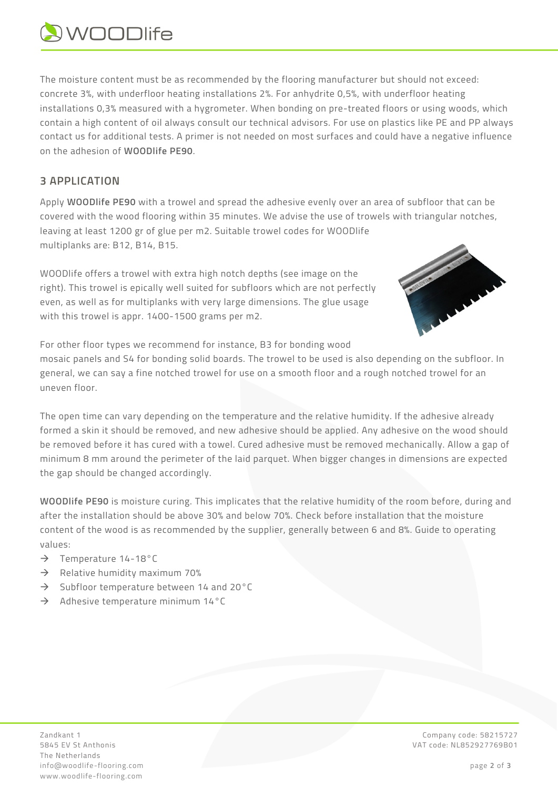# **AWOODlife**

The moisture content must be as recommended by the flooring manufacturer but should not exceed: concrete 3%, with underfloor heating installations 2%. For anhydrite 0,5%, with underfloor heating installations 0,3% measured with a hygrometer. When bonding on pre-treated floors or using woods, which contain a high content of oil always consult our technical advisors. For use on plastics like PE and PP always contact us for additional tests. A primer is not needed on most surfaces and could have a negative influence on the adhesion of **WOODlife PE90**.

# **3 APPLICATION**

Apply **WOODlife PE90** with a trowel and spread the adhesive evenly over an area of subfloor that can be covered with the wood flooring within 35 minutes. We advise the use of trowels with triangular notches, leaving at least 1200 gr of glue per m2. Suitable trowel codes for WOODlife multiplanks are: B12, B14, B15.

WOODlife offers a trowel with extra high notch depths (see image on the right). This trowel is epically well suited for subfloors which are not perfectly even, as well as for multiplanks with very large dimensions. The glue usage with this trowel is appr. 1400-1500 grams per m2.



For other floor types we recommend for instance, B3 for bonding wood mosaic panels and S4 for bonding solid boards. The trowel to be used is also depending on the subfloor. In general, we can say a fine notched trowel for use on a smooth floor and a rough notched trowel for an uneven floor.

The open time can vary depending on the temperature and the relative humidity. If the adhesive already formed a skin it should be removed, and new adhesive should be applied. Any adhesive on the wood should be removed before it has cured with a towel. Cured adhesive must be removed mechanically. Allow a gap of minimum 8 mm around the perimeter of the laid parquet. When bigger changes in dimensions are expected the gap should be changed accordingly.

**WOODlife PE90** is moisture curing. This implicates that the relative humidity of the room before, during and after the installation should be above 30% and below 70%. Check before installation that the moisture content of the wood is as recommended by the supplier, generally between 6 and 8%. Guide to operating values:

- $\rightarrow$  Temperature 14-18°C
- $\rightarrow$  Relative humidity maximum 70%
- $\rightarrow$  Subfloor temperature between 14 and 20 $^{\circ}$ C
- $\rightarrow$  Adhesive temperature minimum 14°C

The Netherlands info@woodlife-flooring.com page **2** of **3** www.woodlife-flooring.com

Zandkant 1 Company code: 58215727 5845 EV St Anthonis VAT code: NL852927769B01